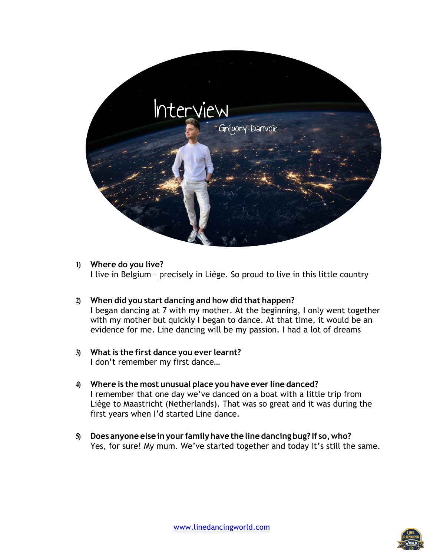

## **1) Where do you live?**

I live in Belgium – precisely in Liège. So proud to live in this little country

- **2) When did you start dancing and how did that happen?** I began dancing at 7 with my mother. At the beginning, I only went together with my mother but quickly I began to dance. At that time, it would be an evidence for me. Line dancing will be my passion. I had a lot of dreams
- **3) What is the first dance you ever learnt?** I don't remember my first dance…
- **4) Where is the most unusual place you have ever line danced?** I remember that one day we've danced on a boat with a little trip from Liège to Maastricht (Netherlands). That was so great and it was during the first years when I'd started Line dance.
- **5) Does anyone else inyour familyhave the line dancing bug? If so,who?** Yes, for sure! My mum. We've started together and today it's still the same.